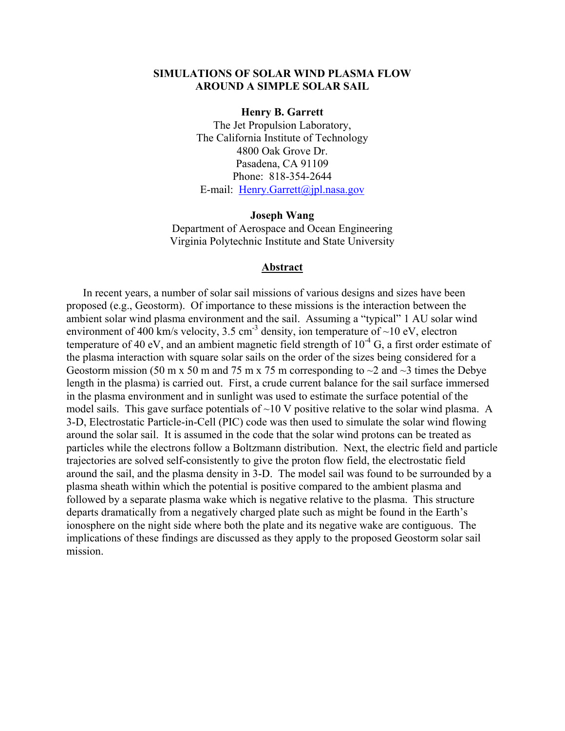## **SIMULATIONS OF SOLAR WIND PLASMA FLOW AROUND A SIMPLE SOLAR SAIL**

**Henry B. Garrett** 

The Jet Propulsion Laboratory, The California Institute of Technology 4800 Oak Grove Dr. Pasadena, CA 91109 Phone: 818-354-2644 E-mail: [Henry.Garrett@jpl.nasa.gov](mailto:Henry.Garrett@jpl.nasa.gov)

**Joseph Wang**  Department of Aerospace and Ocean Engineering Virginia Polytechnic Institute and State University

#### **Abstract**

In recent years, a number of solar sail missions of various designs and sizes have been proposed (e.g., Geostorm). Of importance to these missions is the interaction between the ambient solar wind plasma environment and the sail. Assuming a "typical" 1 AU solar wind environment of 400 km/s velocity, 3.5 cm<sup>-3</sup> density, ion temperature of  $\sim$ 10 eV, electron temperature of 40 eV, and an ambient magnetic field strength of  $10^{-4}$  G, a first order estimate of the plasma interaction with square solar sails on the order of the sizes being considered for a Geostorm mission (50 m x 50 m and 75 m x 75 m corresponding to  $\sim$ 2 and  $\sim$ 3 times the Debye length in the plasma) is carried out. First, a crude current balance for the sail surface immersed in the plasma environment and in sunlight was used to estimate the surface potential of the model sails. This gave surface potentials of  $\sim$ 10 V positive relative to the solar wind plasma. A 3-D, Electrostatic Particle-in-Cell (PIC) code was then used to simulate the solar wind flowing around the solar sail. It is assumed in the code that the solar wind protons can be treated as particles while the electrons follow a Boltzmann distribution. Next, the electric field and particle trajectories are solved self-consistently to give the proton flow field, the electrostatic field around the sail, and the plasma density in 3-D. The model sail was found to be surrounded by a plasma sheath within which the potential is positive compared to the ambient plasma and followed by a separate plasma wake which is negative relative to the plasma. This structure departs dramatically from a negatively charged plate such as might be found in the Earth's ionosphere on the night side where both the plate and its negative wake are contiguous. The implications of these findings are discussed as they apply to the proposed Geostorm solar sail mission.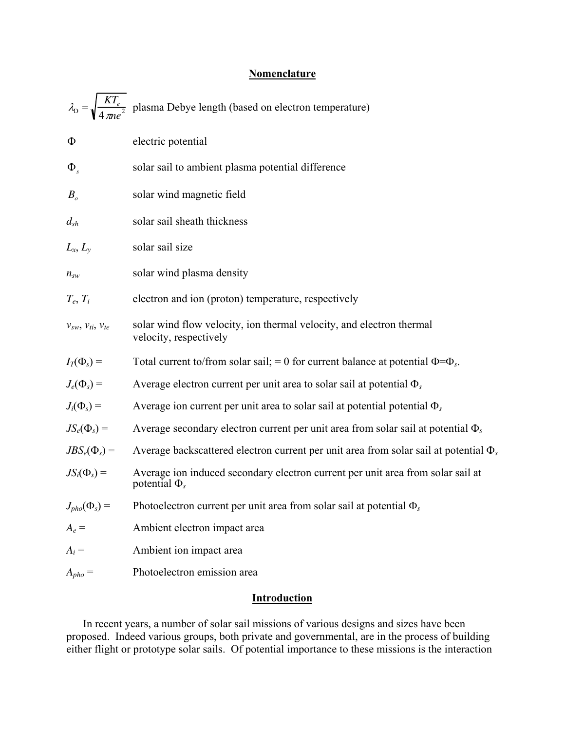# **Nomenclature**

|                                | $\lambda_{\rm D} = \sqrt{\frac{KT_e}{4 \pi n e^2}}$ plasma Debye length (based on electron temperature) |  |  |  |
|--------------------------------|---------------------------------------------------------------------------------------------------------|--|--|--|
| Φ                              | electric potential                                                                                      |  |  |  |
| $\Phi_{s}$                     | solar sail to ambient plasma potential difference                                                       |  |  |  |
| $B_{o}$                        | solar wind magnetic field                                                                               |  |  |  |
| $d_{\mathit{sh}}$              | solar sail sheath thickness                                                                             |  |  |  |
| $L_x, L_y$                     | solar sail size                                                                                         |  |  |  |
| $n_{sw}$                       | solar wind plasma density                                                                               |  |  |  |
| $T_e, T_i$                     | electron and ion (proton) temperature, respectively                                                     |  |  |  |
| $V_{SW}$ , $V_{ti}$ , $V_{te}$ | solar wind flow velocity, ion thermal velocity, and electron thermal<br>velocity, respectively          |  |  |  |
| $I_T(\Phi_s) =$                | Total current to/from solar sail; = 0 for current balance at potential $\Phi = \Phi_s$ .                |  |  |  |
| $J_e(\Phi_s) =$                | Average electron current per unit area to solar sail at potential $\Phi_s$                              |  |  |  |
| $J_i(\Phi_s) =$                | Average ion current per unit area to solar sail at potential potential $\Phi_s$                         |  |  |  |
| $JS_e(\Phi_s) =$               | Average secondary electron current per unit area from solar sail at potential $\Phi_s$                  |  |  |  |
| $JBS_e(\Phi_s) =$              | Average backscattered electron current per unit area from solar sail at potential $\Phi_s$              |  |  |  |
| $JS_i(\Phi_s) =$               | Average ion induced secondary electron current per unit area from solar sail at<br>potential $\Phi_s$   |  |  |  |
| $J_{pho}(\Phi_s) =$            | Photoelectron current per unit area from solar sail at potential $\Phi_s$                               |  |  |  |
| $A_e =$                        | Ambient electron impact area                                                                            |  |  |  |
| $A_i =$                        | Ambient ion impact area                                                                                 |  |  |  |
| $A_{pho} =$                    | Photoelectron emission area                                                                             |  |  |  |
|                                |                                                                                                         |  |  |  |

# **Introduction**

In recent years, a number of solar sail missions of various designs and sizes have been proposed. Indeed various groups, both private and governmental, are in the process of building either flight or prototype solar sails. Of potential importance to these missions is the interaction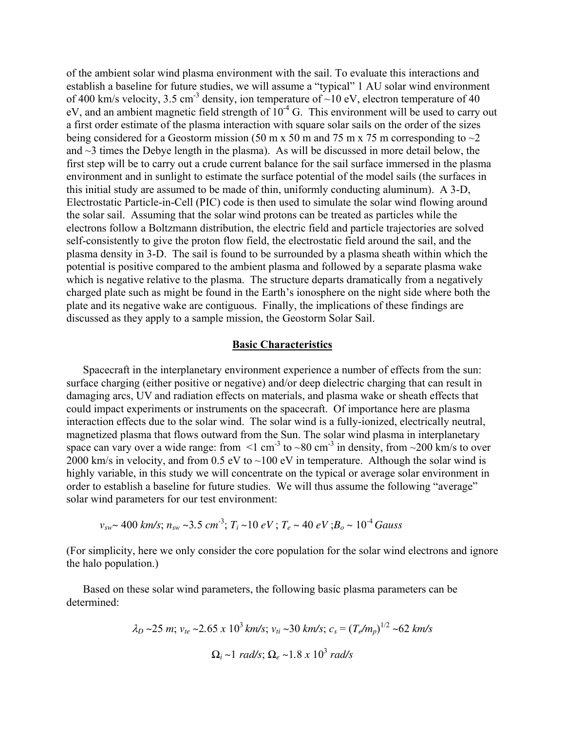of the ambient solar wind plasma environment with the sail. To evaluate this interactions and establish a baseline for future studies, we will assume a "typical" 1 AU solar wind environment of 400 km/s velocity, 3.5 cm<sup>-3</sup> density, ion temperature of  $\sim$ 10 eV, electron temperature of 40 eV, and an ambient magnetic field strength of  $10^{-4}$  G. This environment will be used to carry out a first order estimate of the plasma interaction with square solar sails on the order of the sizes being considered for a Geostorm mission (50 m x 50 m and 75 m x 75 m corresponding to  $\sim$ 2 and  $\sim$ 3 times the Debye length in the plasma). As will be discussed in more detail below, the first step will be to carry out a crude current balance for the sail surface immersed in the plasma environment and in sunlight to estimate the surface potential of the model sails (the surfaces in this initial study are assumed to be made of thin, uniformly conducting aluminum). A 3-D, Electrostatic Particle-in-Cell (PIC) code is then used to simulate the solar wind flowing around the solar sail. Assuming that the solar wind protons can be treated as particles while the electrons follow a Boltzmann distribution, the electric field and particle trajectories are solved self-consistently to give the proton flow field, the electrostatic field around the sail, and the plasma density in 3-D. The sail is found to be surrounded by a plasma sheath within which the potential is positive compared to the ambient plasma and followed by a separate plasma wake which is negative relative to the plasma. The structure departs dramatically from a negatively charged plate such as might be found in the Earth's ionosphere on the night side where both the plate and its negative wake are contiguous. Finally, the implications of these findings are discussed as they apply to a sample mission, the Geostorm Solar Sail.

### **Basic Characteristics**

Spacecraft in the interplanetary environment experience a number of effects from the sun: surface charging (either positive or negative) and/or deep dielectric charging that can result in damaging arcs, UV and radiation effects on materials, and plasma wake or sheath effects that could impact experiments or instruments on the spacecraft. Of importance here are plasma interaction effects due to the solar wind. The solar wind is a fully-ionized, electrically neutral, magnetized plasma that flows outward from the Sun. The solar wind plasma in interplanetary space can vary over a wide range: from  $\leq 1$  cm<sup>-3</sup> to  $\sim 80$  cm<sup>-3</sup> in density, from  $\sim 200$  km/s to over 2000 km/s in velocity, and from 0.5 eV to  $\sim$ 100 eV in temperature. Although the solar wind is highly variable, in this study we will concentrate on the typical or average solar environment in order to establish a baseline for future studies. We will thus assume the following "average" solar wind parameters for our test environment:

$$
v_{sw}
$$
~ 400 km/s;  $n_{sw}$ ~3.5 cm<sup>-3</sup>;  $T_i$ ~10 eV;  $T_e$ ~ 40 eV;  $B_o$ ~10<sup>-4</sup> Gauss

(For simplicity, here we only consider the core population for the solar wind electrons and ignore the halo population.)

Based on these solar wind parameters, the following basic plasma parameters can be determined:

$$
\lambda_D \sim 25 \, m
$$
;  $v_{te} \sim 2.65 \, x \, 10^3 \, km/s$ ;  $v_{ti} \sim 30 \, km/s$ ;  $c_s = (T_e/m_p)^{1/2} \sim 62 \, km/s$   
 $\Omega_i \sim 1 \, rad/s$ ;  $\Omega_e \sim 1.8 \, x \, 10^3 \, rad/s$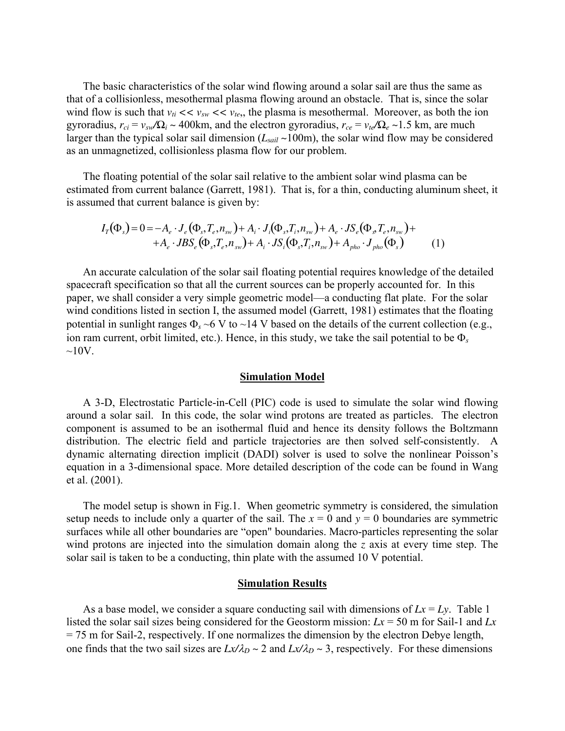The basic characteristics of the solar wind flowing around a solar sail are thus the same as that of a collisionless, mesothermal plasma flowing around an obstacle. That is, since the solar wind flow is such that  $v_{ti} \ll v_{sw} \ll v_{te}$ , the plasma is mesothermal. Moreover, as both the ion gyroradius,  $r_{ci} = v_{sw}/\Omega_i \sim 400 \text{km}$ , and the electron gyroradius,  $r_{ce} = v_{te}/\Omega_e \sim 1.5 \text{ km}$ , are much larger than the typical solar sail dimension ( $L<sub>scail</sub> \sim 100$ m), the solar wind flow may be considered as an unmagnetized, collisionless plasma flow for our problem.

The floating potential of the solar sail relative to the ambient solar wind plasma can be estimated from current balance (Garrett, 1981). That is, for a thin, conducting aluminum sheet, it is assumed that current balance is given by:

$$
I_{T}(\Phi_{s}) = 0 = -A_{e} \cdot J_{e}(\Phi_{s}, T_{e}, n_{sw}) + A_{i} \cdot J_{i}(\Phi_{s}, T_{i}, n_{sw}) + A_{e} \cdot JS_{e}(\Phi_{s}, T_{e}, n_{sw}) ++ A_{e} \cdot JBS_{e}(\Phi_{s}, T_{e}, n_{sw}) + A_{i} \cdot JS_{i}(\Phi_{s}, T_{i}, n_{sw}) + A_{pho} \cdot J_{pho}(\Phi_{s})
$$
(1)

An accurate calculation of the solar sail floating potential requires knowledge of the detailed spacecraft specification so that all the current sources can be properly accounted for. In this paper, we shall consider a very simple geometric model—a conducting flat plate. For the solar wind conditions listed in section I, the assumed model (Garrett, 1981) estimates that the floating potential in sunlight ranges  $\Phi_s \sim 6$  V to  $\sim$ 14 V based on the details of the current collection (e.g., ion ram current, orbit limited, etc.). Hence, in this study, we take the sail potential to be Φ*<sup>s</sup>*  $\sim$ 10V.

#### **Simulation Model**

A 3-D, Electrostatic Particle-in-Cell (PIC) code is used to simulate the solar wind flowing around a solar sail. In this code, the solar wind protons are treated as particles. The electron component is assumed to be an isothermal fluid and hence its density follows the Boltzmann distribution. The electric field and particle trajectories are then solved self-consistently. A dynamic alternating direction implicit (DADI) solver is used to solve the nonlinear Poisson's equation in a 3-dimensional space. More detailed description of the code can be found in Wang et al. (2001).

The model setup is shown in Fig.1. When geometric symmetry is considered, the simulation setup needs to include only a quarter of the sail. The  $x = 0$  and  $y = 0$  boundaries are symmetric surfaces while all other boundaries are "open" boundaries. Macro-particles representing the solar wind protons are injected into the simulation domain along the *z* axis at every time step. The solar sail is taken to be a conducting, thin plate with the assumed 10 V potential.

### **Simulation Results**

As a base model, we consider a square conducting sail with dimensions of  $Lx = Ly$ . Table 1 listed the solar sail sizes being considered for the Geostorm mission: *Lx* = 50 m for Sail-1 and *Lx* = 75 m for Sail-2, respectively. If one normalizes the dimension by the electron Debye length, one finds that the two sail sizes are  $Lx/\lambda_D \sim 2$  and  $Lx/\lambda_D \sim 3$ , respectively. For these dimensions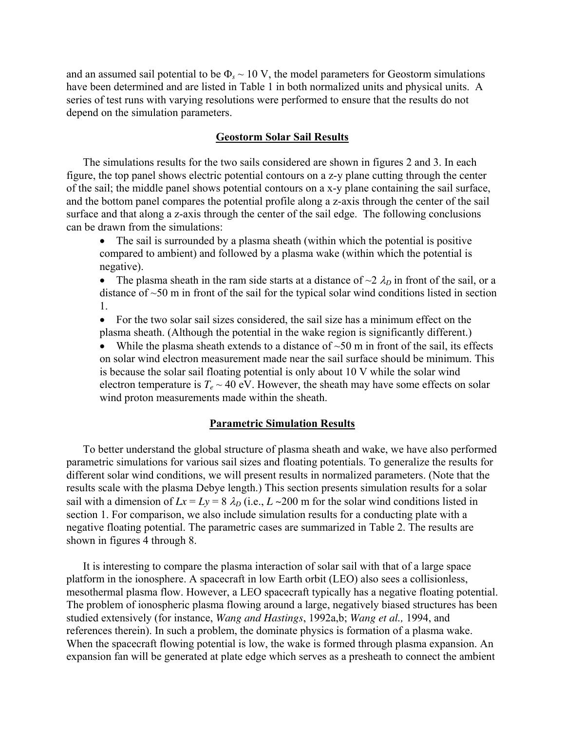and an assumed sail potential to be  $\Phi_s \sim 10 \text{ V}$ , the model parameters for Geostorm simulations have been determined and are listed in Table 1 in both normalized units and physical units. A series of test runs with varying resolutions were performed to ensure that the results do not depend on the simulation parameters.

## **Geostorm Solar Sail Results**

The simulations results for the two sails considered are shown in figures 2 and 3. In each figure, the top panel shows electric potential contours on a z-y plane cutting through the center of the sail; the middle panel shows potential contours on a x-y plane containing the sail surface, and the bottom panel compares the potential profile along a z-axis through the center of the sail surface and that along a z-axis through the center of the sail edge. The following conclusions can be drawn from the simulations:

• The sail is surrounded by a plasma sheath (within which the potential is positive compared to ambient) and followed by a plasma wake (within which the potential is negative).

• The plasma sheath in the ram side starts at a distance of  $\sim$ 2  $\lambda_D$  in front of the sail, or a distance of ~50 m in front of the sail for the typical solar wind conditions listed in section 1.

• For the two solar sail sizes considered, the sail size has a minimum effect on the plasma sheath. (Although the potential in the wake region is significantly different.)

• While the plasma sheath extends to a distance of  $\sim 50$  m in front of the sail, its effects on solar wind electron measurement made near the sail surface should be minimum. This is because the solar sail floating potential is only about 10 V while the solar wind electron temperature is  $T_e \sim 40$  eV. However, the sheath may have some effects on solar wind proton measurements made within the sheath.

#### **Parametric Simulation Results**

To better understand the global structure of plasma sheath and wake, we have also performed parametric simulations for various sail sizes and floating potentials. To generalize the results for different solar wind conditions, we will present results in normalized parameters. (Note that the results scale with the plasma Debye length.) This section presents simulation results for a solar sail with a dimension of  $Lx = Ly = 8$   $\lambda_D$  (i.e.,  $L \sim 200$  m for the solar wind conditions listed in section 1. For comparison, we also include simulation results for a conducting plate with a negative floating potential. The parametric cases are summarized in Table 2. The results are shown in figures 4 through 8.

It is interesting to compare the plasma interaction of solar sail with that of a large space platform in the ionosphere. A spacecraft in low Earth orbit (LEO) also sees a collisionless, mesothermal plasma flow. However, a LEO spacecraft typically has a negative floating potential. The problem of ionospheric plasma flowing around a large, negatively biased structures has been studied extensively (for instance, *Wang and Hastings*, 1992a,b; *Wang et al.,* 1994, and references therein). In such a problem, the dominate physics is formation of a plasma wake. When the spacecraft flowing potential is low, the wake is formed through plasma expansion. An expansion fan will be generated at plate edge which serves as a presheath to connect the ambient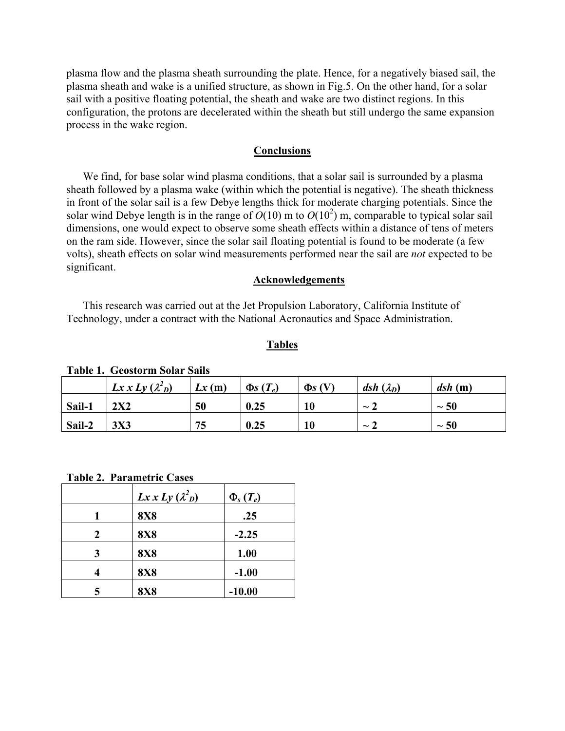plasma flow and the plasma sheath surrounding the plate. Hence, for a negatively biased sail, the plasma sheath and wake is a unified structure, as shown in Fig.5. On the other hand, for a solar sail with a positive floating potential, the sheath and wake are two distinct regions. In this configuration, the protons are decelerated within the sheath but still undergo the same expansion process in the wake region.

#### **Conclusions**

We find, for base solar wind plasma conditions, that a solar sail is surrounded by a plasma sheath followed by a plasma wake (within which the potential is negative). The sheath thickness in front of the solar sail is a few Debye lengths thick for moderate charging potentials. Since the solar wind Debye length is in the range of  $O(10)$  m to  $O(10^2)$  m, comparable to typical solar sail dimensions, one would expect to observe some sheath effects within a distance of tens of meters on the ram side. However, since the solar sail floating potential is found to be moderate (a few volts), sheath effects on solar wind measurements performed near the sail are *not* expected to be significant.

### **Acknowledgements**

This research was carried out at the Jet Propulsion Laboratory, California Institute of Technology, under a contract with the National Aeronautics and Space Administration.

## **Tables**

|        | $Lx x Ly (\lambda^2_D)$ | Lx(m) | $\Phi$ s $(T_e)$ | $\Phi$ s (V) | $\boldsymbol{dsh}(\lambda_D)$ | dsh(m)    |
|--------|-------------------------|-------|------------------|--------------|-------------------------------|-----------|
| Sail-1 | 2X2                     | 50    | 0.25             |              | $\sim$                        | $\sim$ 50 |
| Sail-2 | <b>3X3</b>              | 75    | 0.25             |              | $\sim$                        | $\sim$ 50 |

**Table 1. Geostorm Solar Sails** 

**Table 2. Parametric Cases**

|   | $Lx x Ly (\lambda^2_D)$ | $\Phi_s(T_e)$ |
|---|-------------------------|---------------|
|   | <b>8X8</b>              | .25           |
| 2 | <b>8X8</b>              | $-2.25$       |
| 3 | <b>8X8</b>              | 1.00          |
|   | <b>8X8</b>              | $-1.00$       |
|   | <b>8X8</b>              | $-10.00$      |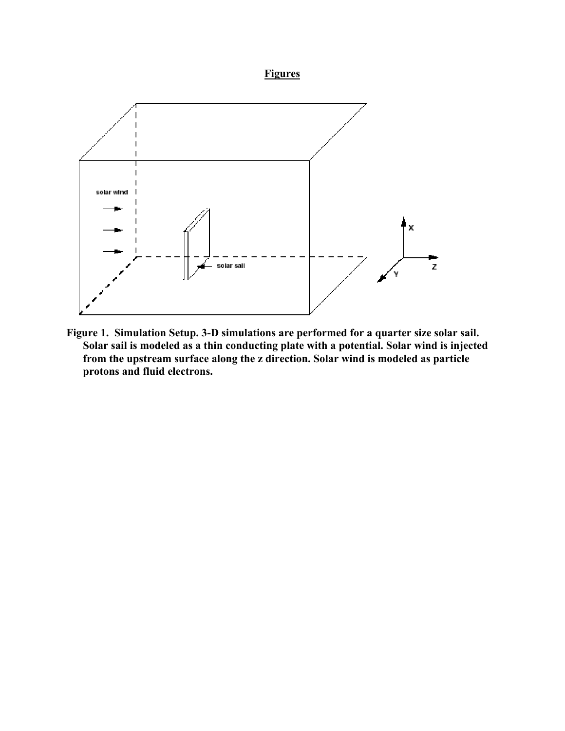# **Figures**



**Figure 1. Simulation Setup. 3-D simulations are performed for a quarter size solar sail. Solar sail is modeled as a thin conducting plate with a potential. Solar wind is injected from the upstream surface along the z direction. Solar wind is modeled as particle protons and fluid electrons.**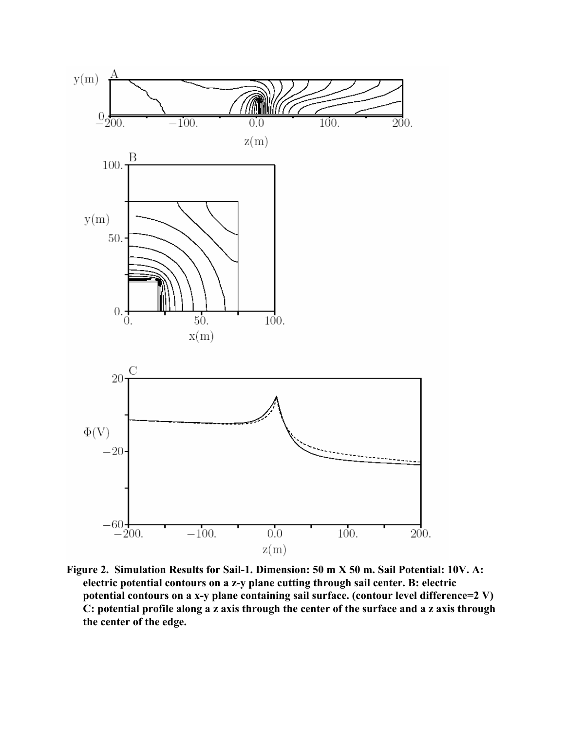

**Figure 2. Simulation Results for Sail-1. Dimension: 50 m X 50 m. Sail Potential: 10V. A: electric potential contours on a z-y plane cutting through sail center. B: electric potential contours on a x-y plane containing sail surface. (contour level difference=2 V) C: potential profile along a z axis through the center of the surface and a z axis through the center of the edge.**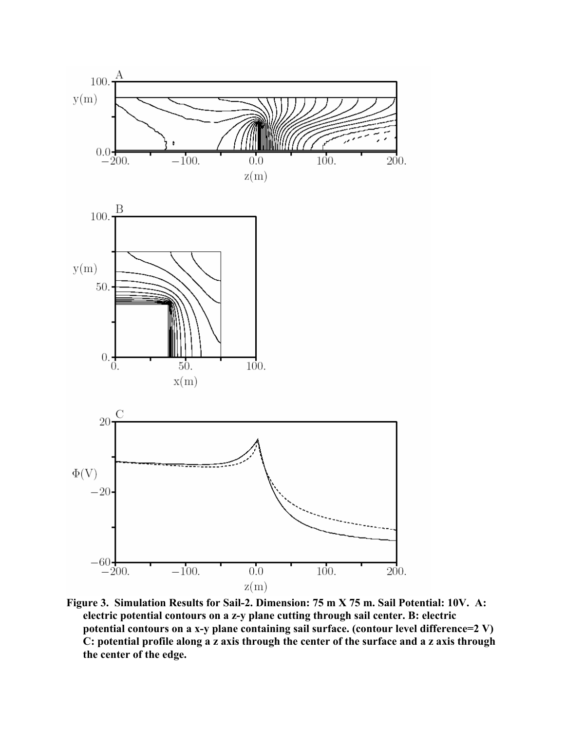

**Figure 3. Simulation Results for Sail-2. Dimension: 75 m X 75 m. Sail Potential: 10V. A: electric potential contours on a z-y plane cutting through sail center. B: electric potential contours on a x-y plane containing sail surface. (contour level difference=2 V) C: potential profile along a z axis through the center of the surface and a z axis through the center of the edge.**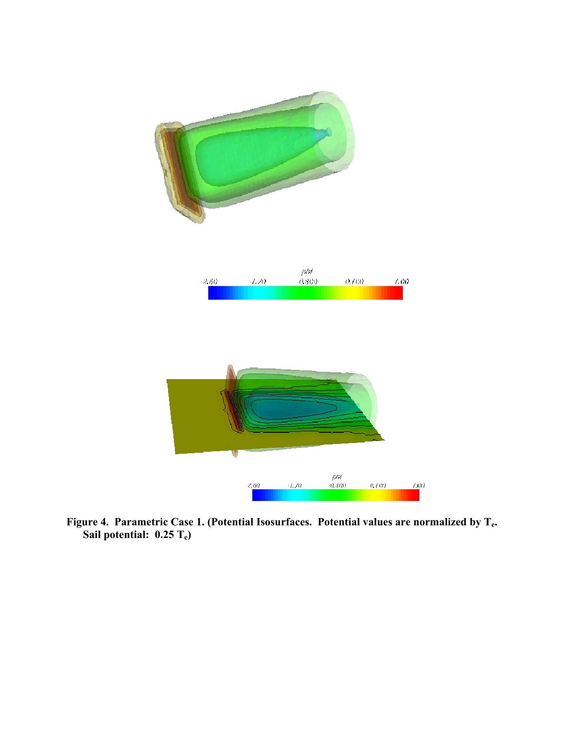

**Figure 4. Parametric Case 1. (Potential Isosurfaces. Potential values are normalized by Te. Sail potential: 0.25 Te)**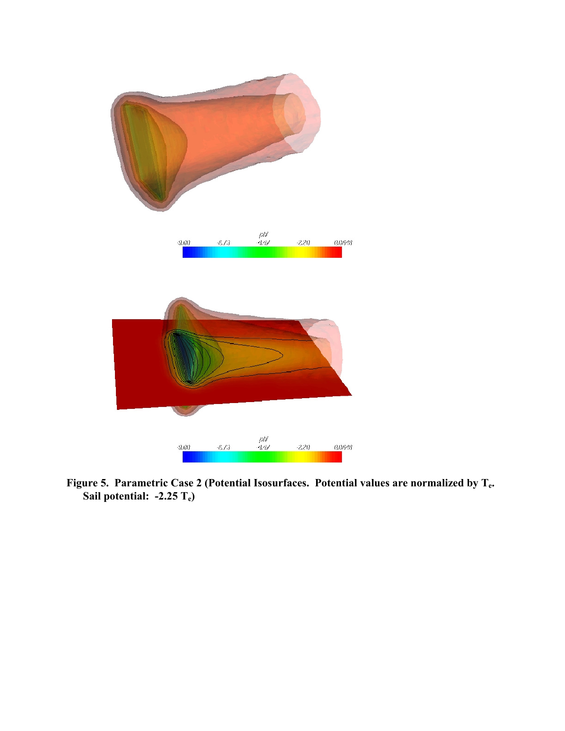

**Figure 5. Parametric Case 2 (Potential Isosurfaces. Potential values are normalized by Te.**  Sail potential: -2.25 T<sub>e</sub>)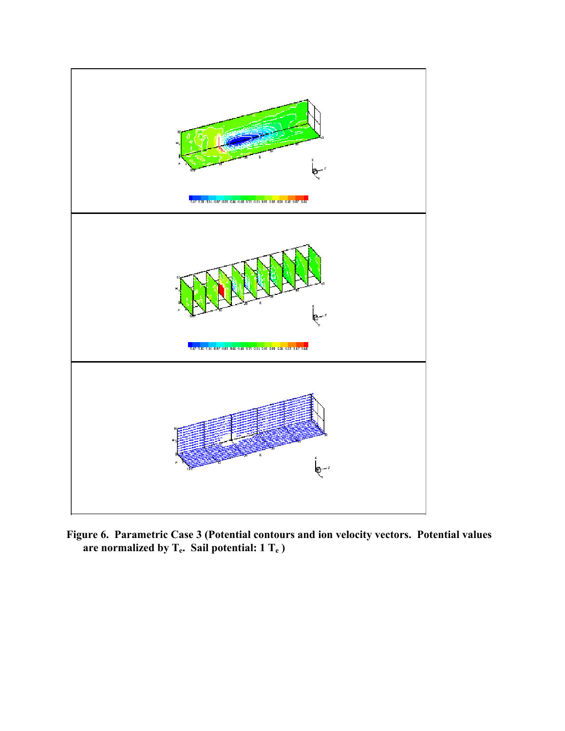

**Figure 6. Parametric Case 3 (Potential contours and ion velocity vectors. Potential values are normalized by Te. Sail potential: 1 Te )**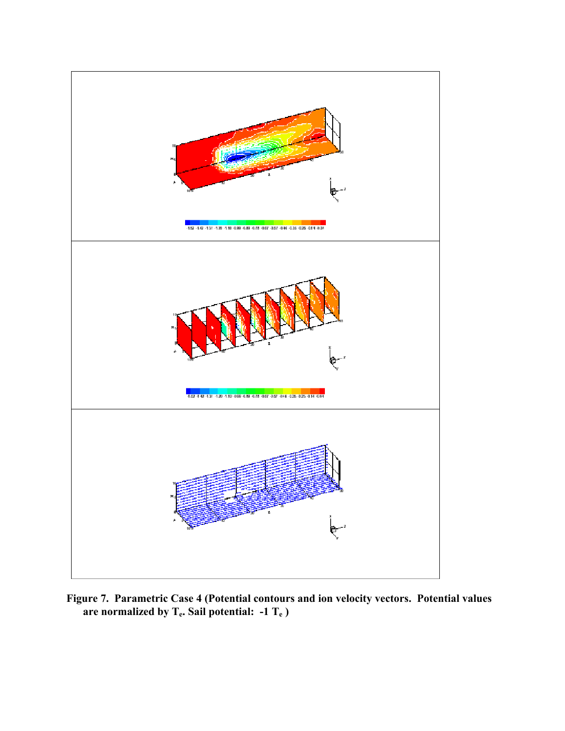

**Figure 7. Parametric Case 4 (Potential contours and ion velocity vectors. Potential values**  are normalized by T<sub>e</sub>. Sail potential: -1 T<sub>e</sub>)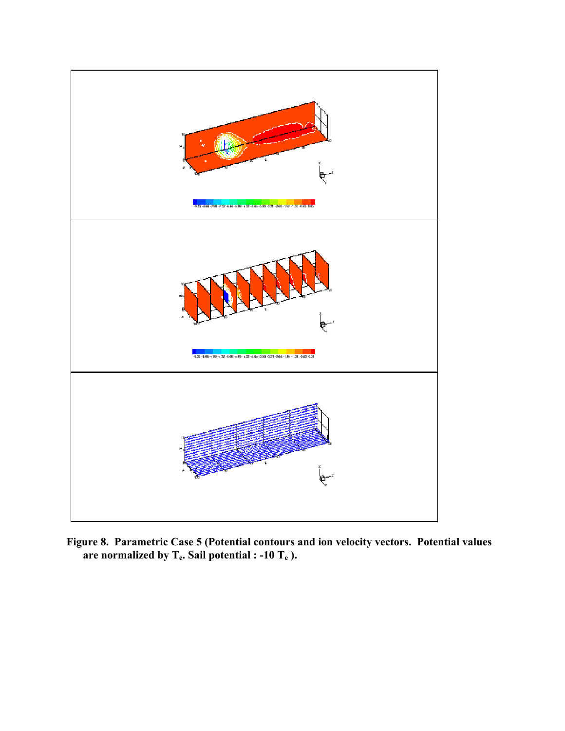

**Figure 8. Parametric Case 5 (Potential contours and ion velocity vectors. Potential values**  are normalized by  $T_e$ . Sail potential : -10  $T_e$ ).